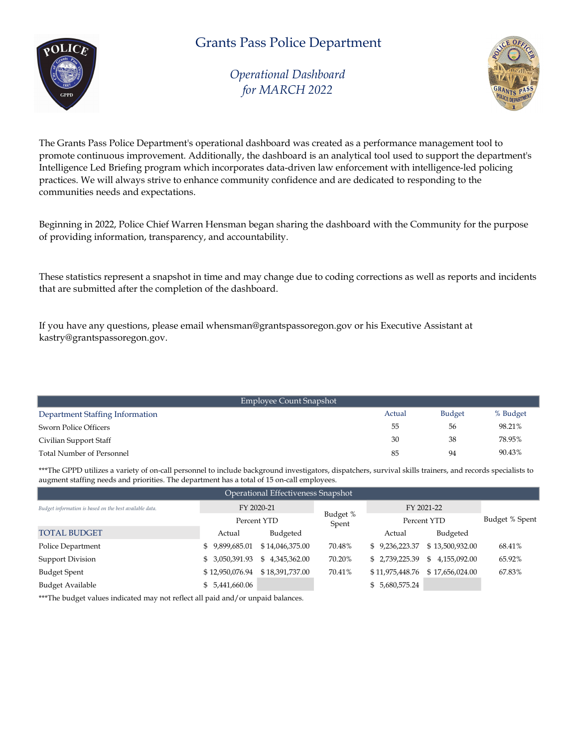# Grants Pass Police Department



Operational Dashboard for MARCH 2022



The Grants Pass Police Department's operational dashboard was created as a performance management tool to promote continuous improvement. Additionally, the dashboard is an analytical tool used to support the department's Intelligence Led Briefing program which incorporates data-driven law enforcement with intelligence-led policing practices. We will always strive to enhance community confidence and are dedicated to responding to the communities needs and expectations.

Beginning in 2022, Police Chief Warren Hensman began sharing the dashboard with the Community for the purpose of providing information, transparency, and accountability.

These statistics represent a snapshot in time and may change due to coding corrections as well as reports and incidents that are submitted after the completion of the dashboard.

If you have any questions, please email whensman@grantspassoregon.gov or his Executive Assistant at kastry@grantspassoregon.gov.

|                                  | Employee Count Snapshot |               |          |
|----------------------------------|-------------------------|---------------|----------|
| Department Staffing Information  | Actual                  | <b>Budget</b> | % Budget |
| Sworn Police Officers            | 55                      | 56            | 98.21%   |
| Civilian Support Staff           | 30                      | 38            | 78.95%   |
| <b>Total Number of Personnel</b> | 85                      | 94            | 90.43%   |

\*\*\*The GPPD utilizes a variety of on-call personnel to include background investigators, dispatchers, survival skills trainers, and records specialists to augment staffing needs and priorities. The department has a total of 15 on-call employees.

| Operational Effectiveness Snapshot                      |                 |                 |                   |                 |                    |                |  |  |  |
|---------------------------------------------------------|-----------------|-----------------|-------------------|-----------------|--------------------|----------------|--|--|--|
| Budget information is based on the best available data. |                 | FY 2020-21      |                   |                 | FY 2021-22         |                |  |  |  |
|                                                         |                 | Percent YTD     | Budget %<br>Spent |                 | Percent YTD        | Budget % Spent |  |  |  |
| <b>TOTAL BUDGET</b>                                     | Actual          | Budgeted        |                   | Actual          | Budgeted           |                |  |  |  |
| Police Department                                       | \$9,899,685.01  | \$14,046,375.00 | 70.48%            | \$9,236,223.37  | \$13,500,932.00    | 68.41%         |  |  |  |
| <b>Support Division</b>                                 | \$ 3,050,391.93 | \$4,345,362.00  | 70.20%            | \$2,739,225.39  | 4,155,092.00<br>S. | 65.92%         |  |  |  |
| <b>Budget Spent</b>                                     | \$12,950,076.94 | \$18,391,737.00 | 70.41%            | \$11,975,448.76 | \$17,656,024.00    | 67.83%         |  |  |  |
| Budget Available                                        | \$ 5,441,660.06 |                 |                   | \$ 5,680,575.24 |                    |                |  |  |  |

\*\*\*The budget values indicated may not reflect all paid and/or unpaid balances.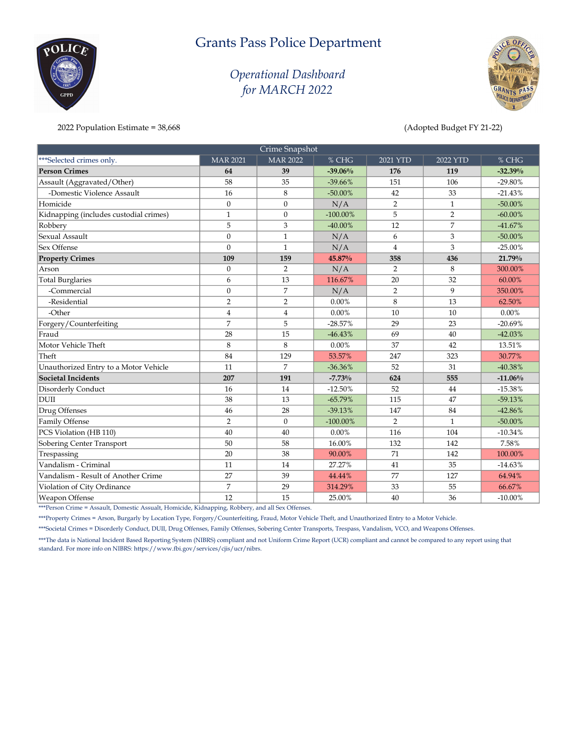# Grants Pass Police Department

## Operational Dashboard for MARCH 2022



2022 Population Estimate = 38,668 (Adopted Budget FY 21-22)

 $\delta$ OLI

|                                        |                 | Crime Snapshot  |             |                |                |            |
|----------------------------------------|-----------------|-----------------|-------------|----------------|----------------|------------|
| ***Selected crimes only.               | <b>MAR 2021</b> | <b>MAR 2022</b> | % CHG       | $2021$ YTD     | 2022 YTD       | % CHG      |
| <b>Person Crimes</b>                   | 64              | 39              | $-39.06%$   | 176            | 119            | $-32.39%$  |
| Assault (Aggravated/Other)             | 58              | 35              | $-39.66%$   | 151            | 106            | $-29.80%$  |
| -Domestic Violence Assault             | 16              | 8               | $-50.00\%$  | 42             | 33             | $-21.43%$  |
| Homicide                               | $\theta$        | $\Omega$        | N/A         | $\overline{2}$ | 1              | $-50.00\%$ |
| Kidnapping (includes custodial crimes) | $\mathbf{1}$    | $\mathbf{0}$    | $-100.00\%$ | 5              | $\overline{2}$ | $-60.00\%$ |
| Robbery                                | 5               | 3               | $-40.00\%$  | 12             | $\overline{7}$ | $-41.67%$  |
| Sexual Assault                         | $\theta$        | $\mathbf{1}$    | N/A         | 6              | 3              | $-50.00\%$ |
| Sex Offense                            | $\Omega$        | $\mathbf{1}$    | N/A         | $\overline{4}$ | 3              | $-25.00\%$ |
| <b>Property Crimes</b>                 | 109             | 159             | 45.87%      | 358            | 436            | 21.79%     |
| Arson                                  | $\theta$        | $\overline{2}$  | N/A         | 2              | 8              | 300.00%    |
| <b>Total Burglaries</b>                | 6               | 13              | 116.67%     | 20             | 32             | 60.00%     |
| -Commercial                            | $\theta$        | $\overline{7}$  | N/A         | $\overline{2}$ | 9              | 350.00%    |
| -Residential                           | $\overline{2}$  | $\overline{2}$  | 0.00%       | 8              | 13             | 62.50%     |
| -Other                                 | $\overline{4}$  | $\overline{4}$  | 0.00%       | 10             | 10             | $0.00\%$   |
| Forgery/Counterfeiting                 | $\overline{7}$  | 5               | $-28.57%$   | 29             | 23             | $-20.69%$  |
| Fraud                                  | 28              | 15              | $-46.43%$   | 69             | 40             | $-42.03%$  |
| Motor Vehicle Theft                    | 8               | 8               | $0.00\%$    | 37             | 42             | 13.51%     |
| Theft                                  | 84              | 129             | 53.57%      | 247            | 323            | 30.77%     |
| Unauthorized Entry to a Motor Vehicle  | 11              | 7               | $-36.36%$   | 52             | 31             | $-40.38%$  |
| <b>Societal Incidents</b>              | 207             | 191             | $-7.73%$    | 624            | 555            | $-11.06%$  |
| Disorderly Conduct                     | 16              | 14              | $-12.50%$   | 52             | 44             | $-15.38%$  |
| <b>DUII</b>                            | 38              | 13              | $-65.79%$   | 115            | 47             | $-59.13%$  |
| Drug Offenses                          | 46              | 28              | $-39.13%$   | 147            | 84             | $-42.86%$  |
| Family Offense                         | $\overline{2}$  | $\mathbf{0}$    | $-100.00\%$ | $\overline{2}$ | $\mathbf{1}$   | $-50.00\%$ |
| PCS Violation (HB 110)                 | 40              | 40              | $0.00\%$    | 116            | 104            | $-10.34%$  |
| Sobering Center Transport              | 50              | 58              | 16.00%      | 132            | 142            | 7.58%      |
| Trespassing                            | 20              | 38              | 90.00%      | 71             | 142            | 100.00%    |
| Vandalism - Criminal                   | 11              | 14              | 27.27%      | 41             | 35             | $-14.63%$  |
| Vandalism - Result of Another Crime    | 27              | 39              | 44.44%      | 77             | 127            | 64.94%     |
| Violation of City Ordinance            | $\overline{7}$  | 29              | 314.29%     | 33             | 55             | 66.67%     |
| Weapon Offense                         | 12              | 15              | 25.00%      | 40             | 36             | $-10.00\%$ |

\*\*\*Person Crime = Assault, Domestic Assualt, Homicide, Kidnapping, Robbery, and all Sex Offenses.

\*\*\*Property Crimes = Arson, Burgarly by Location Type, Forgery/Counterfeiting, Fraud, Motor Vehicle Theft, and Unauthorized Entry to a Motor Vehicle.

\*\*\*Societal Crimes = Disorderly Conduct, DUII, Drug Offenses, Family Offenses, Sobering Center Transports, Trespass, Vandalism, VCO, and Weapons Offenses.

\*\*\*The data is National Incident Based Reporting System (NIBRS) compliant and not Uniform Crime Report (UCR) compliant and cannot be compared to any report using that standard. For more info on NIBRS: https://www.fbi.gov/services/cjis/ucr/nibrs.